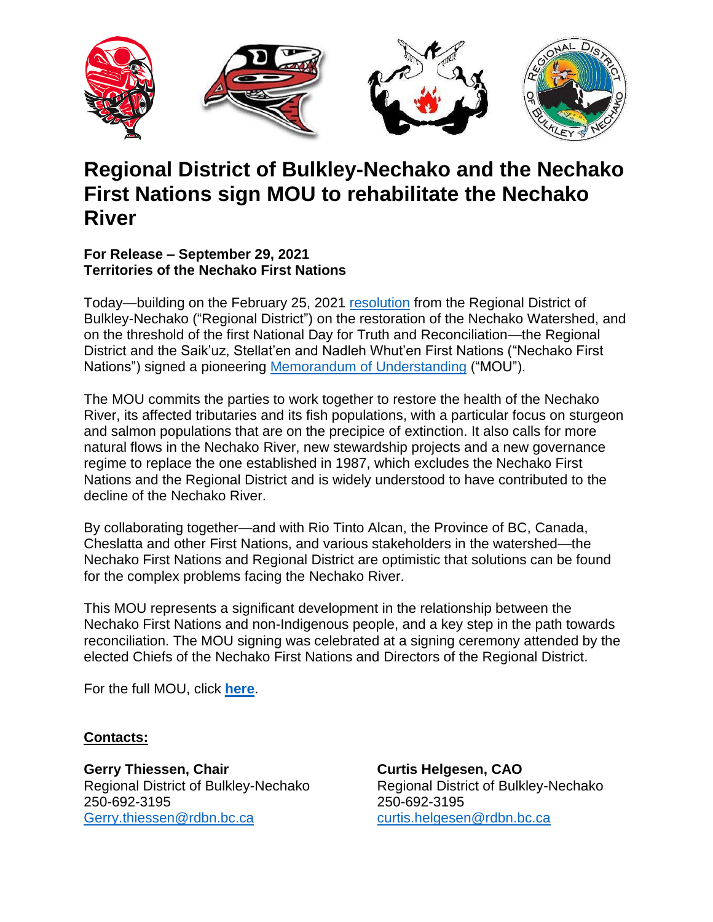

# **Regional District of Bulkley-Nechako and the Nechako First Nations sign MOU to rehabilitate the Nechako River**

#### **For Release – September 29, 2021 Territories of the Nechako First Nations**

Today—building on the February 25, 2021 [resolution](https://www.rdbn.bc.ca/application/files/3516/1539/0254/Certified_Resolution.pdf) from the Regional District of Bulkley-Nechako ("Regional District") on the restoration of the Nechako Watershed, and on the threshold of the first National Day for Truth and Reconciliation—the Regional District and the Saik'uz, Stellat'en and Nadleh Whut'en First Nations ("Nechako First Nations") signed a pioneering [Memorandum of Understanding](https://www.rdbn.bc.ca/application/files/1416/3285/7300/RTA_-_MOU_with_Regional_District_of_Bulkley-Nechako_Execution_Copy_-_Signed_by_NFNs47659579.2.pdf) ("MOU").

The MOU commits the parties to work together to restore the health of the Nechako River, its affected tributaries and its fish populations, with a particular focus on sturgeon and salmon populations that are on the precipice of extinction. It also calls for more natural flows in the Nechako River, new stewardship projects and a new governance regime to replace the one established in 1987, which excludes the Nechako First Nations and the Regional District and is widely understood to have contributed to the decline of the Nechako River.

By collaborating together—and with Rio Tinto Alcan, the Province of BC, Canada, Cheslatta and other First Nations, and various stakeholders in the watershed—the Nechako First Nations and Regional District are optimistic that solutions can be found for the complex problems facing the Nechako River.

This MOU represents a significant development in the relationship between the Nechako First Nations and non-Indigenous people, and a key step in the path towards reconciliation. The MOU signing was celebrated at a signing ceremony attended by the elected Chiefs of the Nechako First Nations and Directors of the Regional District.

For the full MOU, click **[here](https://www.rdbn.bc.ca/application/files/1416/3285/7300/RTA_-_MOU_with_Regional_District_of_Bulkley-Nechako_Execution_Copy_-_Signed_by_NFNs47659579.2.pdf)**.

### **Contacts:**

**Gerry Thiessen, Chair Curtis Helgesen, CAO** 250-692-3195 250-692-3195 [Gerry.thiessen@rdbn.bc.ca](mailto:Gerry.thiessen@rdbn.bc.ca) [curtis.helgesen@rdbn.bc.ca](mailto:curtis.helgesen@rdbn.bc.ca)

Regional District of Bulkley-Nechako Regional District of Bulkley-Nechako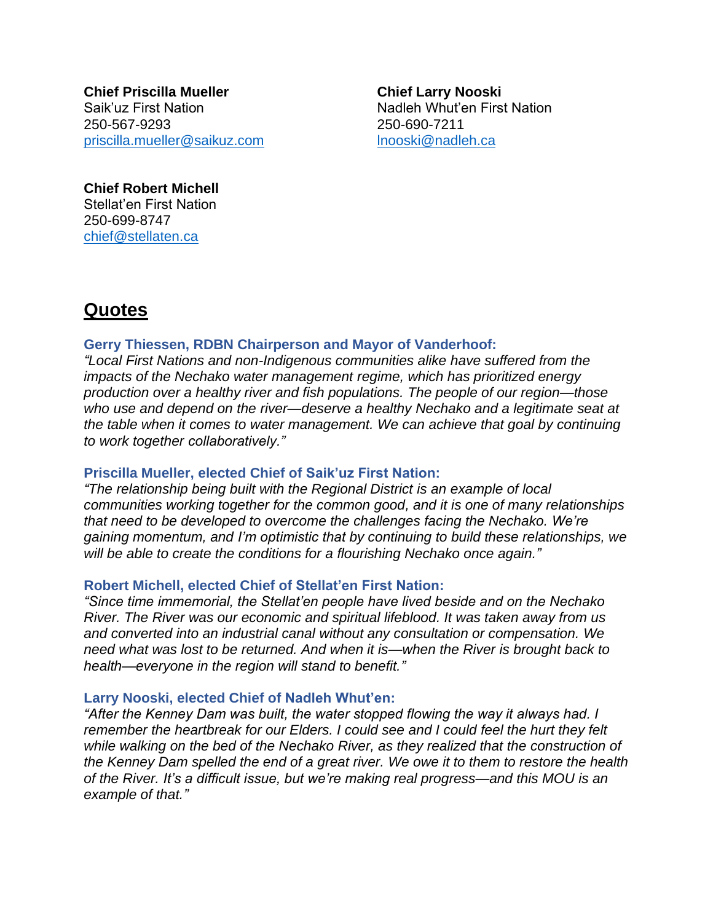**Chief Priscilla Mueller Chief Larry Nooski** Saik'uz First Nation Nadleh Whut'en First Nation 250-567-9293 250-690-7211 [priscilla.mueller@saikuz.com](mailto:priscilla.mueller@saikuz.com) [lnooski@nadleh.ca](mailto:lnooski@nadleh.ca)

**Chief Robert Michell** Stellat'en First Nation

250-699-8747 [chief@stellaten.ca](mailto:chief@stellaten.ca)

### **Quotes**

#### **Gerry Thiessen, RDBN Chairperson and Mayor of Vanderhoof:**

*"Local First Nations and non-Indigenous communities alike have suffered from the impacts of the Nechako water management regime, which has prioritized energy production over a healthy river and fish populations. The people of our region—those who use and depend on the river—deserve a healthy Nechako and a legitimate seat at the table when it comes to water management. We can achieve that goal by continuing to work together collaboratively."*

#### **Priscilla Mueller, elected Chief of Saik'uz First Nation:**

*"The relationship being built with the Regional District is an example of local communities working together for the common good, and it is one of many relationships that need to be developed to overcome the challenges facing the Nechako. We're gaining momentum, and I'm optimistic that by continuing to build these relationships, we will be able to create the conditions for a flourishing Nechako once again."* 

#### **Robert Michell, elected Chief of Stellat'en First Nation:**

*"Since time immemorial, the Stellat'en people have lived beside and on the Nechako River. The River was our economic and spiritual lifeblood. It was taken away from us and converted into an industrial canal without any consultation or compensation. We need what was lost to be returned. And when it is—when the River is brought back to health—everyone in the region will stand to benefit."*

#### **Larry Nooski, elected Chief of Nadleh Whut'en:**

*"After the Kenney Dam was built, the water stopped flowing the way it always had. I remember the heartbreak for our Elders. I could see and I could feel the hurt they felt while walking on the bed of the Nechako River, as they realized that the construction of the Kenney Dam spelled the end of a great river. We owe it to them to restore the health of the River. It's a difficult issue, but we're making real progress—and this MOU is an example of that."*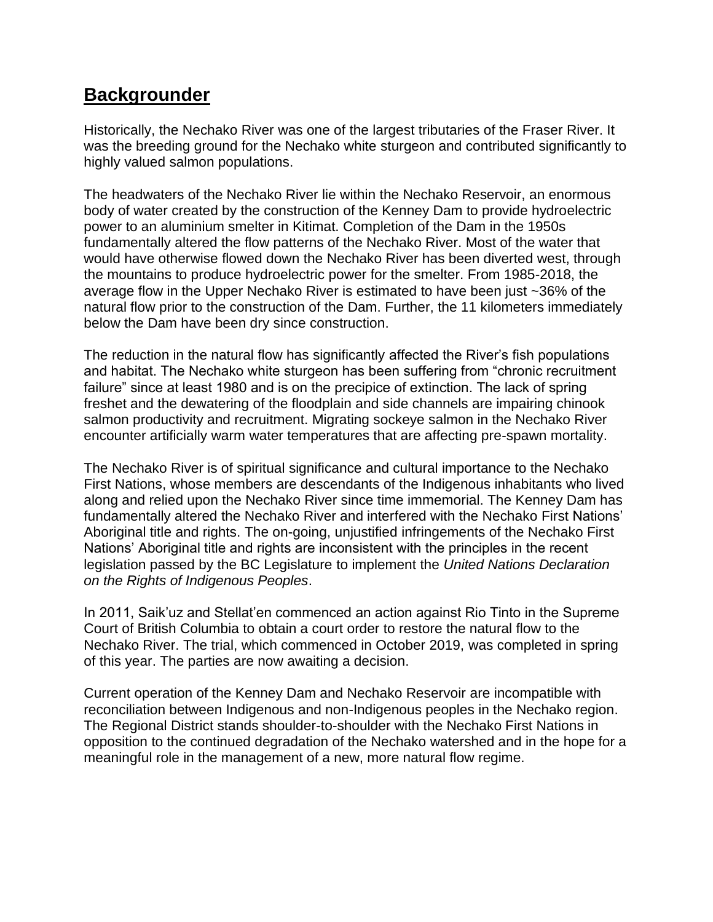## **Backgrounder**

Historically, the Nechako River was one of the largest tributaries of the Fraser River. It was the breeding ground for the Nechako white sturgeon and contributed significantly to highly valued salmon populations.

The headwaters of the Nechako River lie within the Nechako Reservoir, an enormous body of water created by the construction of the Kenney Dam to provide hydroelectric power to an aluminium smelter in Kitimat. Completion of the Dam in the 1950s fundamentally altered the flow patterns of the Nechako River. Most of the water that would have otherwise flowed down the Nechako River has been diverted west, through the mountains to produce hydroelectric power for the smelter. From 1985-2018, the average flow in the Upper Nechako River is estimated to have been just ~36% of the natural flow prior to the construction of the Dam. Further, the 11 kilometers immediately below the Dam have been dry since construction.

The reduction in the natural flow has significantly affected the River's fish populations and habitat. The Nechako white sturgeon has been suffering from "chronic recruitment failure" since at least 1980 and is on the precipice of extinction. The lack of spring freshet and the dewatering of the floodplain and side channels are impairing chinook salmon productivity and recruitment. Migrating sockeye salmon in the Nechako River encounter artificially warm water temperatures that are affecting pre-spawn mortality.

The Nechako River is of spiritual significance and cultural importance to the Nechako First Nations, whose members are descendants of the Indigenous inhabitants who lived along and relied upon the Nechako River since time immemorial. The Kenney Dam has fundamentally altered the Nechako River and interfered with the Nechako First Nations' Aboriginal title and rights. The on-going, unjustified infringements of the Nechako First Nations' Aboriginal title and rights are inconsistent with the principles in the recent legislation passed by the BC Legislature to implement the *United Nations Declaration on the Rights of Indigenous Peoples*.

In 2011, Saik'uz and Stellat'en commenced an action against Rio Tinto in the Supreme Court of British Columbia to obtain a court order to restore the natural flow to the Nechako River. The trial, which commenced in October 2019, was completed in spring of this year. The parties are now awaiting a decision.

Current operation of the Kenney Dam and Nechako Reservoir are incompatible with reconciliation between Indigenous and non-Indigenous peoples in the Nechako region. The Regional District stands shoulder-to-shoulder with the Nechako First Nations in opposition to the continued degradation of the Nechako watershed and in the hope for a meaningful role in the management of a new, more natural flow regime.